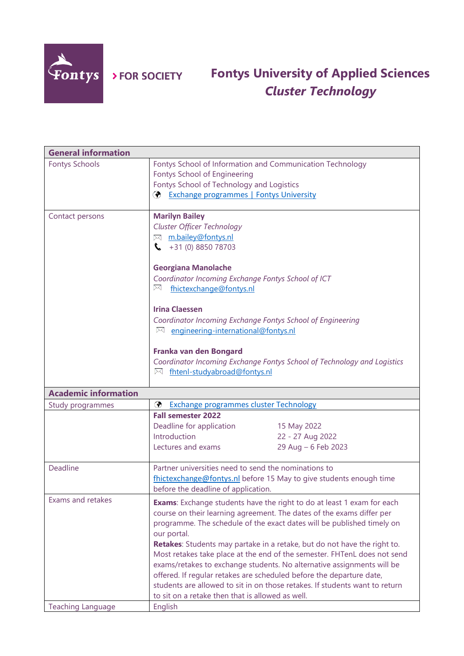

> FOR SOCIETY

## **Fontys University of Applied Sciences** *Cluster Technology*

| <b>General information</b>  |                                                                                                                                                      |
|-----------------------------|------------------------------------------------------------------------------------------------------------------------------------------------------|
| <b>Fontys Schools</b>       | Fontys School of Information and Communication Technology<br>Fontys School of Engineering                                                            |
|                             | Fontys School of Technology and Logistics                                                                                                            |
|                             | <b>Exchange programmes   Fontys University</b><br>$\circledast$                                                                                      |
|                             |                                                                                                                                                      |
| Contact persons             | <b>Marilyn Bailey</b>                                                                                                                                |
|                             | <b>Cluster Officer Technology</b>                                                                                                                    |
|                             | M <sub>m.bailey@fontys.nl</sub>                                                                                                                      |
|                             | $\bullet$ +31 (0) 8850 78703                                                                                                                         |
|                             | <b>Georgiana Manolache</b>                                                                                                                           |
|                             | Coordinator Incoming Exchange Fontys School of ICT                                                                                                   |
|                             | ⊠<br>fhictexchange@fontys.nl                                                                                                                         |
|                             | <b>Irina Claessen</b>                                                                                                                                |
|                             | Coordinator Incoming Exchange Fontys School of Engineering                                                                                           |
|                             | ⊠ engineering-international@fontys.nl                                                                                                                |
|                             | Franka van den Bongard                                                                                                                               |
|                             | Coordinator Incoming Exchange Fontys School of Technology and Logistics                                                                              |
|                             | M fhtenl-studyabroad@fontys.nl                                                                                                                       |
|                             |                                                                                                                                                      |
| <b>Academic information</b> |                                                                                                                                                      |
| Study programmes            | ⊛<br><b>Exchange programmes cluster Technology</b>                                                                                                   |
|                             | <b>Fall semester 2022</b>                                                                                                                            |
|                             | Deadline for application<br>15 May 2022                                                                                                              |
|                             | Introduction<br>22 - 27 Aug 2022                                                                                                                     |
|                             | 29 Aug - 6 Feb 2023<br>Lectures and exams                                                                                                            |
| Deadline                    | Partner universities need to send the nominations to                                                                                                 |
|                             |                                                                                                                                                      |
|                             | fhictexchange@fontys.nl before 15 May to give students enough time<br>before the deadline of application.                                            |
| Exams and retakes           |                                                                                                                                                      |
|                             | Exams: Exchange students have the right to do at least 1 exam for each                                                                               |
|                             | course on their learning agreement. The dates of the exams differ per                                                                                |
|                             | programme. The schedule of the exact dates will be published timely on                                                                               |
|                             | our portal.                                                                                                                                          |
|                             | Retakes: Students may partake in a retake, but do not have the right to.<br>Most retakes take place at the end of the semester. FHTenL does not send |
|                             | exams/retakes to exchange students. No alternative assignments will be                                                                               |
|                             | offered. If regular retakes are scheduled before the departure date,                                                                                 |
|                             | students are allowed to sit in on those retakes. If students want to return                                                                          |
|                             |                                                                                                                                                      |
|                             |                                                                                                                                                      |
| <b>Teaching Language</b>    | to sit on a retake then that is allowed as well.<br>English                                                                                          |